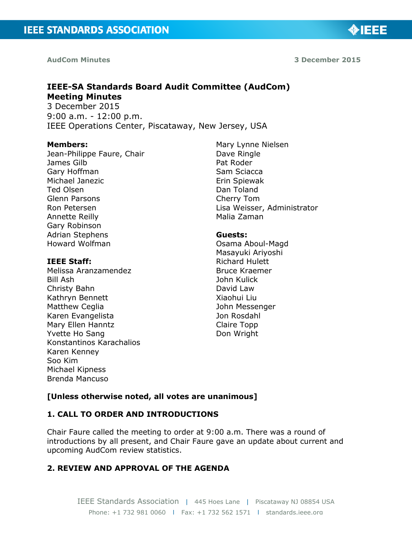**AudCom Minutes** 

**3 December 2015**

◈IEEE

# **IEEE-SA Standards Board Audit Committee (AudCom) Meeting Minutes**

3 December 2015 9:00 a.m. - 12:00 p.m. IEEE Operations Center, Piscataway, New Jersey, USA

## **Members:**

Jean-Philippe Faure, Chair James Gilb Gary Hoffman Michael Janezic Ted Olsen Glenn Parsons Ron Petersen Annette Reilly Gary Robinson Adrian Stephens Howard Wolfman

## **IEEE Staff:**

Melissa Aranzamendez Bill Ash Christy Bahn Kathryn Bennett Matthew Ceglia Karen Evangelista Mary Ellen Hanntz Yvette Ho Sang Konstantinos Karachalios Karen Kenney Soo Kim Michael Kipness Brenda Mancuso

Mary Lynne Nielsen Dave Ringle Pat Roder Sam Sciacca Erin Spiewak Dan Toland Cherry Tom Lisa Weisser, Administrator Malia Zaman

## **Guests:**

Osama Aboul-Magd Masayuki Ariyoshi Richard Hulett Bruce Kraemer John Kulick David Law Xiaohui Liu John Messenger Jon Rosdahl Claire Topp Don Wright

# **[Unless otherwise noted, all votes are unanimous]**

# **1. CALL TO ORDER AND INTRODUCTIONS**

Chair Faure called the meeting to order at 9:00 a.m. There was a round of introductions by all present, and Chair Faure gave an update about current and upcoming AudCom review statistics.

# **2. REVIEW AND APPROVAL OF THE AGENDA**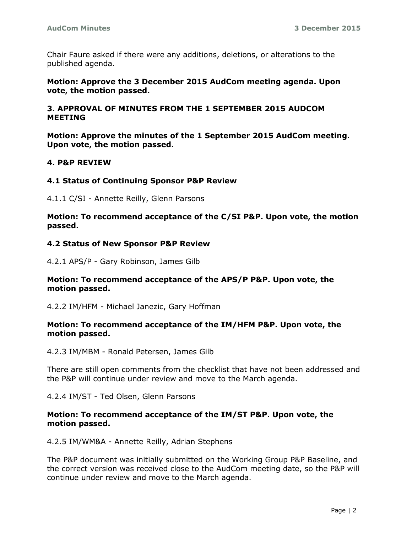Chair Faure asked if there were any additions, deletions, or alterations to the published agenda.

**Motion: Approve the 3 December 2015 AudCom meeting agenda. Upon vote, the motion passed.**

## **3. APPROVAL OF MINUTES FROM THE 1 SEPTEMBER 2015 AUDCOM MEETING**

**Motion: Approve the minutes of the 1 September 2015 AudCom meeting. Upon vote, the motion passed.**

## **4. P&P REVIEW**

## **4.1 Status of Continuing Sponsor P&P Review**

4.1.1 C/SI - Annette Reilly, Glenn Parsons

**Motion: To recommend acceptance of the C/SI P&P. Upon vote, the motion passed.**

## **4.2 Status of New Sponsor P&P Review**

4.2.1 APS/P - Gary Robinson, James Gilb

## **Motion: To recommend acceptance of the APS/P P&P. Upon vote, the motion passed.**

4.2.2 IM/HFM - Michael Janezic, Gary Hoffman

## **Motion: To recommend acceptance of the IM/HFM P&P. Upon vote, the motion passed.**

4.2.3 IM/MBM - Ronald Petersen, James Gilb

There are still open comments from the checklist that have not been addressed and the P&P will continue under review and move to the March agenda.

4.2.4 IM/ST - Ted Olsen, Glenn Parsons

## **Motion: To recommend acceptance of the IM/ST P&P. Upon vote, the motion passed.**

4.2.5 IM/WM&A - Annette Reilly, Adrian Stephens

The P&P document was initially submitted on the Working Group P&P Baseline, and the correct version was received close to the AudCom meeting date, so the P&P will continue under review and move to the March agenda.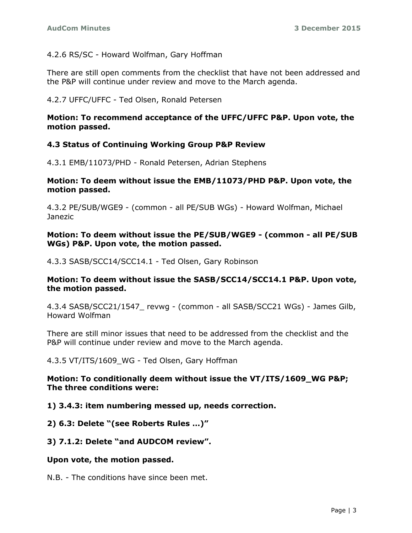# 4.2.6 RS/SC - Howard Wolfman, Gary Hoffman

There are still open comments from the checklist that have not been addressed and the P&P will continue under review and move to the March agenda.

# 4.2.7 UFFC/UFFC - Ted Olsen, Ronald Petersen

## **Motion: To recommend acceptance of the UFFC/UFFC P&P. Upon vote, the motion passed.**

# **4.3 Status of Continuing Working Group P&P Review**

4.3.1 EMB/11073/PHD - Ronald Petersen, Adrian Stephens

## **Motion: To deem without issue the EMB/11073/PHD P&P. Upon vote, the motion passed.**

4.3.2 PE/SUB/WGE9 - (common - all PE/SUB WGs) - Howard Wolfman, Michael Janezic

## **Motion: To deem without issue the PE/SUB/WGE9 - (common - all PE/SUB WGs) P&P. Upon vote, the motion passed.**

4.3.3 SASB/SCC14/SCC14.1 - Ted Olsen, Gary Robinson

# **Motion: To deem without issue the SASB/SCC14/SCC14.1 P&P. Upon vote, the motion passed.**

4.3.4 SASB/SCC21/1547\_ revwg - (common - all SASB/SCC21 WGs) - James Gilb, Howard Wolfman

There are still minor issues that need to be addressed from the checklist and the P&P will continue under review and move to the March agenda.

4.3.5 VT/ITS/1609\_WG - Ted Olsen, Gary Hoffman

## **Motion: To conditionally deem without issue the VT/ITS/1609\_WG P&P; The three conditions were:**

# **1) 3.4.3: item numbering messed up, needs correction.**

**2) 6.3: Delete "(see Roberts Rules …)"**

# **3) 7.1.2: Delete "and AUDCOM review".**

# **Upon vote, the motion passed.**

N.B. - The conditions have since been met.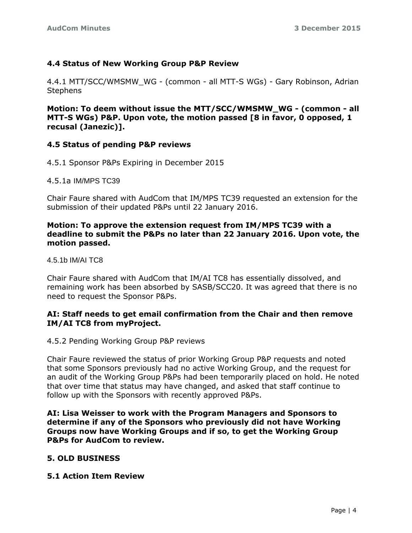# **4.4 Status of New Working Group P&P Review**

4.4.1 MTT/SCC/WMSMW\_WG - (common - all MTT-S WGs) - Gary Robinson, Adrian **Stephens** 

**Motion: To deem without issue the MTT/SCC/WMSMW\_WG - (common - all MTT-S WGs) P&P. Upon vote, the motion passed [8 in favor, 0 opposed, 1 recusal (Janezic)].**

# **4.5 Status of pending P&P reviews**

- 4.5.1 Sponsor P&Ps Expiring in December 2015
- 4.5.1a IM/MPS TC39

Chair Faure shared with AudCom that IM/MPS TC39 requested an extension for the submission of their updated P&Ps until 22 January 2016.

## **Motion: To approve the extension request from IM/MPS TC39 with a deadline to submit the P&Ps no later than 22 January 2016. Upon vote, the motion passed.**

4.5.1b IM/AI TC8

Chair Faure shared with AudCom that IM/AI TC8 has essentially dissolved, and remaining work has been absorbed by SASB/SCC20. It was agreed that there is no need to request the Sponsor P&Ps.

## **AI: Staff needs to get email confirmation from the Chair and then remove IM/AI TC8 from myProject.**

4.5.2 Pending Working Group P&P reviews

Chair Faure reviewed the status of prior Working Group P&P requests and noted that some Sponsors previously had no active Working Group, and the request for an audit of the Working Group P&Ps had been temporarily placed on hold. He noted that over time that status may have changed, and asked that staff continue to follow up with the Sponsors with recently approved P&Ps.

**AI: Lisa Weisser to work with the Program Managers and Sponsors to determine if any of the Sponsors who previously did not have Working Groups now have Working Groups and if so, to get the Working Group P&Ps for AudCom to review.** 

# **5. OLD BUSINESS**

## **5.1 Action Item Review**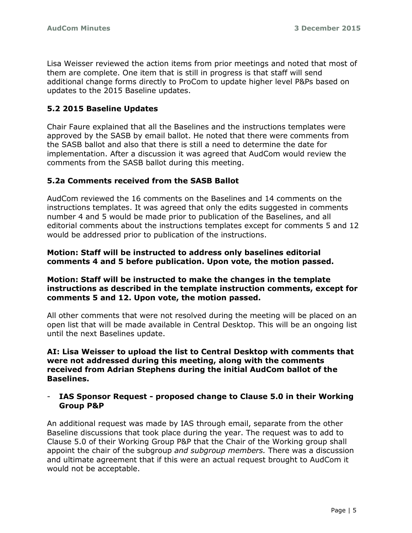Lisa Weisser reviewed the action items from prior meetings and noted that most of them are complete. One item that is still in progress is that staff will send additional change forms directly to ProCom to update higher level P&Ps based on updates to the 2015 Baseline updates.

# **5.2 2015 Baseline Updates**

Chair Faure explained that all the Baselines and the instructions templates were approved by the SASB by email ballot. He noted that there were comments from the SASB ballot and also that there is still a need to determine the date for implementation. After a discussion it was agreed that AudCom would review the comments from the SASB ballot during this meeting.

# **5.2a Comments received from the SASB Ballot**

AudCom reviewed the 16 comments on the Baselines and 14 comments on the instructions templates. It was agreed that only the edits suggested in comments number 4 and 5 would be made prior to publication of the Baselines, and all editorial comments about the instructions templates except for comments 5 and 12 would be addressed prior to publication of the instructions.

## **Motion: Staff will be instructed to address only baselines editorial comments 4 and 5 before publication. Upon vote, the motion passed.**

## **Motion: Staff will be instructed to make the changes in the template instructions as described in the template instruction comments, except for comments 5 and 12. Upon vote, the motion passed.**

All other comments that were not resolved during the meeting will be placed on an open list that will be made available in Central Desktop. This will be an ongoing list until the next Baselines update.

## **AI: Lisa Weisser to upload the list to Central Desktop with comments that were not addressed during this meeting, along with the comments received from Adrian Stephens during the initial AudCom ballot of the Baselines.**

## - **IAS Sponsor Request - proposed change to Clause 5.0 in their Working Group P&P**

An additional request was made by IAS through email, separate from the other Baseline discussions that took place during the year. The request was to add to Clause 5.0 of their Working Group P&P that the Chair of the Working group shall appoint the chair of the subgroup *and subgroup members.* There was a discussion and ultimate agreement that if this were an actual request brought to AudCom it would not be acceptable.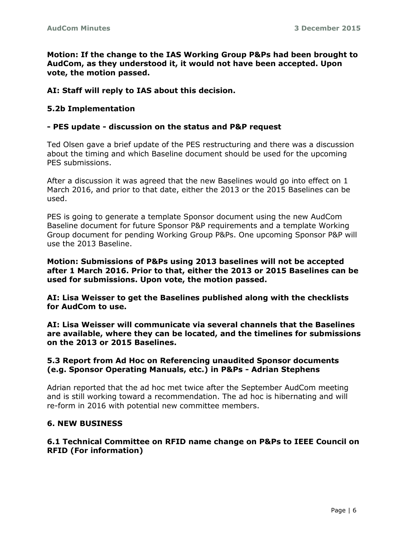**Motion: If the change to the IAS Working Group P&Ps had been brought to AudCom, as they understood it, it would not have been accepted. Upon vote, the motion passed.**

## **AI: Staff will reply to IAS about this decision.**

## **5.2b Implementation**

## **- PES update - discussion on the status and P&P request**

Ted Olsen gave a brief update of the PES restructuring and there was a discussion about the timing and which Baseline document should be used for the upcoming PES submissions.

After a discussion it was agreed that the new Baselines would go into effect on 1 March 2016, and prior to that date, either the 2013 or the 2015 Baselines can be used.

PES is going to generate a template Sponsor document using the new AudCom Baseline document for future Sponsor P&P requirements and a template Working Group document for pending Working Group P&Ps. One upcoming Sponsor P&P will use the 2013 Baseline.

**Motion: Submissions of P&Ps using 2013 baselines will not be accepted after 1 March 2016. Prior to that, either the 2013 or 2015 Baselines can be used for submissions. Upon vote, the motion passed.**

**AI: Lisa Weisser to get the Baselines published along with the checklists for AudCom to use.** 

**AI: Lisa Weisser will communicate via several channels that the Baselines are available, where they can be located, and the timelines for submissions on the 2013 or 2015 Baselines.**

## **5.3 Report from Ad Hoc on Referencing unaudited Sponsor documents (e.g. Sponsor Operating Manuals, etc.) in P&Ps - Adrian Stephens**

Adrian reported that the ad hoc met twice after the September AudCom meeting and is still working toward a recommendation. The ad hoc is hibernating and will re-form in 2016 with potential new committee members.

## **6. NEW BUSINESS**

## **6.1 Technical Committee on RFID name change on P&Ps to IEEE Council on RFID (For information)**